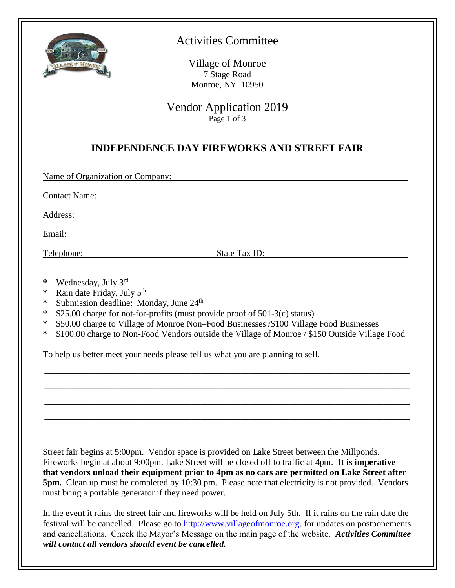

## Activities Committee

Village of Monroe 7 Stage Road Monroe, NY 10950

Vendor Application 2019 Page 1 of 3

### **INDEPENDENCE DAY FIREWORKS AND STREET FAIR**

Name of Organization or Company:

Contact Name:

Address: and the state of the state of the state of the state of the state of the state of the state of the state of the state of the state of the state of the state of the state of the state of the state of the state of t

Email:

Telephone: State Tax ID:

- **\*** Wednesday, July 3rd
- \* Rain date Friday, July 5<sup>th</sup>
- \* Submission deadline: Monday, June 24<sup>th</sup>
- \* \$25.00 charge for not-for-profits (must provide proof of 501-3(c) status)
- \* \$50.00 charge to Village of Monroe Non–Food Businesses /\$100 Village Food Businesses
- \* \$100.00 charge to Non-Food Vendors outside the Village of Monroe / \$150 Outside Village Food

\_\_\_\_\_\_\_\_\_\_\_\_\_\_\_\_\_\_\_\_\_\_\_\_\_\_\_\_\_\_\_\_\_\_\_\_\_\_\_\_\_\_\_\_\_\_\_\_\_\_\_\_\_\_\_\_\_\_\_\_\_\_\_\_\_\_\_\_\_\_\_\_\_\_\_\_\_\_\_\_\_\_

\_\_\_\_\_\_\_\_\_\_\_\_\_\_\_\_\_\_\_\_\_\_\_\_\_\_\_\_\_\_\_\_\_\_\_\_\_\_\_\_\_\_\_\_\_\_\_\_\_\_\_\_\_\_\_\_\_\_\_\_\_\_\_\_\_\_\_\_\_\_\_\_\_\_\_\_\_\_\_\_\_\_

\_\_\_\_\_\_\_\_\_\_\_\_\_\_\_\_\_\_\_\_\_\_\_\_\_\_\_\_\_\_\_\_\_\_\_\_\_\_\_\_\_\_\_\_\_\_\_\_\_\_\_\_\_\_\_\_\_\_\_\_\_\_\_\_\_\_\_\_\_\_\_\_\_\_\_\_\_\_\_\_\_\_

\_\_\_\_\_\_\_\_\_\_\_\_\_\_\_\_\_\_\_\_\_\_\_\_\_\_\_\_\_\_\_\_\_\_\_\_\_\_\_\_\_\_\_\_\_\_\_\_\_\_\_\_\_\_\_\_\_\_\_\_\_\_\_\_\_\_\_\_\_\_\_\_\_\_\_\_\_\_\_\_\_\_

To help us better meet your needs please tell us what you are planning to sell.

Street fair begins at 5:00pm. Vendor space is provided on Lake Street between the Millponds. Fireworks begin at about 9:00pm. Lake Street will be closed off to traffic at 4pm. **It is imperative that vendors unload their equipment prior to 4pm as no cars are permitted on Lake Street after 5pm.** Clean up must be completed by 10:30 pm. Please note that electricity is not provided. Vendors must bring a portable generator if they need power.

In the event it rains the street fair and fireworks will be held on July 5th. If it rains on the rain date the festival will be cancelled. Please go to [http://www.villageofmonroe.org.](http://www.villageofmonroe.org/) for updates on postponements and cancellations. Check the Mayor's Message on the main page of the website. *Activities Committee will contact all vendors should event be cancelled.*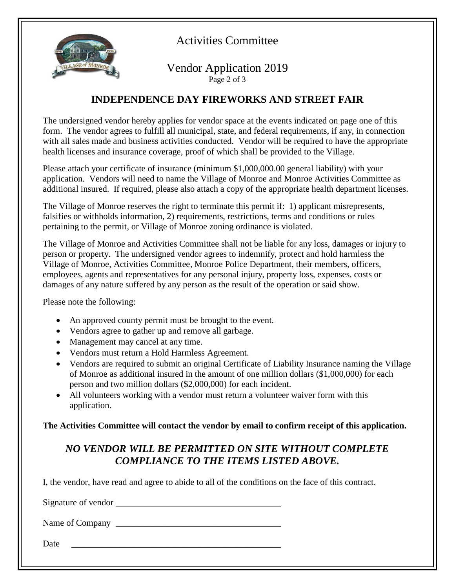

Activities Committee

#### Vendor Application 2019 Page 2 of 3

#### **INDEPENDENCE DAY FIREWORKS AND STREET FAIR**

The undersigned vendor hereby applies for vendor space at the events indicated on page one of this form. The vendor agrees to fulfill all municipal, state, and federal requirements, if any, in connection with all sales made and business activities conducted. Vendor will be required to have the appropriate health licenses and insurance coverage, proof of which shall be provided to the Village.

Please attach your certificate of insurance (minimum \$1,000,000.00 general liability) with your application. Vendors will need to name the Village of Monroe and Monroe Activities Committee as additional insured. If required, please also attach a copy of the appropriate health department licenses.

The Village of Monroe reserves the right to terminate this permit if: 1) applicant misrepresents, falsifies or withholds information, 2) requirements, restrictions, terms and conditions or rules pertaining to the permit, or Village of Monroe zoning ordinance is violated.

The Village of Monroe and Activities Committee shall not be liable for any loss, damages or injury to person or property. The undersigned vendor agrees to indemnify, protect and hold harmless the Village of Monroe, Activities Committee, Monroe Police Department, their members, officers, employees, agents and representatives for any personal injury, property loss, expenses, costs or damages of any nature suffered by any person as the result of the operation or said show.

Please note the following:

- An approved county permit must be brought to the event.
- Vendors agree to gather up and remove all garbage.
- Management may cancel at any time.
- Vendors must return a Hold Harmless Agreement.
- Vendors are required to submit an original Certificate of Liability Insurance naming the Village of Monroe as additional insured in the amount of one million dollars (\$1,000,000) for each person and two million dollars (\$2,000,000) for each incident.
- All volunteers working with a vendor must return a volunteer waiver form with this application.

**The Activities Committee will contact the vendor by email to confirm receipt of this application.**

## *NO VENDOR WILL BE PERMITTED ON SITE WITHOUT COMPLETE COMPLIANCE TO THE ITEMS LISTED ABOVE.*

I, the vendor, have read and agree to abide to all of the conditions on the face of this contract.

Signature of vendor \_\_\_\_\_\_\_\_\_\_\_\_\_\_\_\_\_\_\_\_\_\_\_\_\_\_\_\_\_\_\_\_\_\_\_\_\_

Name of Company

Date <u>and</u> the set of  $\overline{a}$  and  $\overline{b}$  and  $\overline{c}$  and  $\overline{c}$  and  $\overline{c}$  and  $\overline{c}$  and  $\overline{c}$  and  $\overline{c}$  and  $\overline{c}$  and  $\overline{c}$  and  $\overline{c}$  and  $\overline{c}$  and  $\overline{c}$  and  $\overline{c}$  and  $\overline{c}$  and  $\overline{$